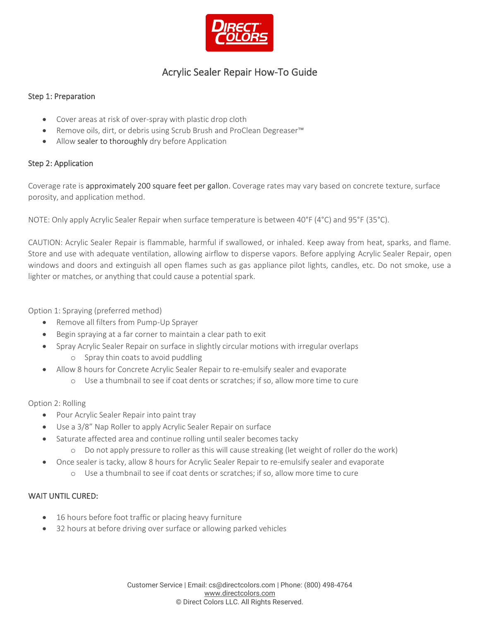

# Acrylic Sealer Repair How-To Guide

#### Step 1: Preparation

- Cover areas at risk of over-spray with plastic drop cloth
- Remove oils, dirt, or debris using Scrub Brush and ProClean Degreaser™
- Allow sealer to thoroughly dry before Application

#### Step 2: Application

Coverage rate is approximately 200 square feet per gallon. Coverage rates may vary based on concrete texture, surface porosity, and application method.

NOTE: Only apply Acrylic Sealer Repair when surface temperature is between 40°F (4°C) and 95°F (35°C).

CAUTION: Acrylic Sealer Repair is flammable, harmful if swallowed, or inhaled. Keep away from heat, sparks, and flame. Store and use with adequate ventilation, allowing airflow to disperse vapors. Before applying Acrylic Sealer Repair, open windows and doors and extinguish all open flames such as gas appliance pilot lights, candles, etc. Do not smoke, use a lighter or matches, or anything that could cause a potential spark.

Option 1: Spraying (preferred method)

- Remove all filters from Pump-Up Sprayer
- Begin spraying at a far corner to maintain a clear path to exit
- Spray Acrylic Sealer Repair on surface in slightly circular motions with irregular overlaps o Spray thin coats to avoid puddling
- Allow 8 hours for Concrete Acrylic Sealer Repair to re-emulsify sealer and evaporate
	- o Use a thumbnail to see if coat dents or scratches; if so, allow more time to cure

Option 2: Rolling

- Pour Acrylic Sealer Repair into paint tray
- Use a 3/8" Nap Roller to apply Acrylic Sealer Repair on surface
- Saturate affected area and continue rolling until sealer becomes tacky
	- o Do not apply pressure to roller as this will cause streaking (let weight of roller do the work)
- Once sealer is tacky, allow 8 hours for Acrylic Sealer Repair to re-emulsify sealer and evaporate
	- o Use a thumbnail to see if coat dents or scratches; if so, allow more time to cure

# WAIT UNTIL CURED:

- 16 hours before foot traffic or placing heavy furniture
- 32 hours at before driving over surface or allowing parked vehicles